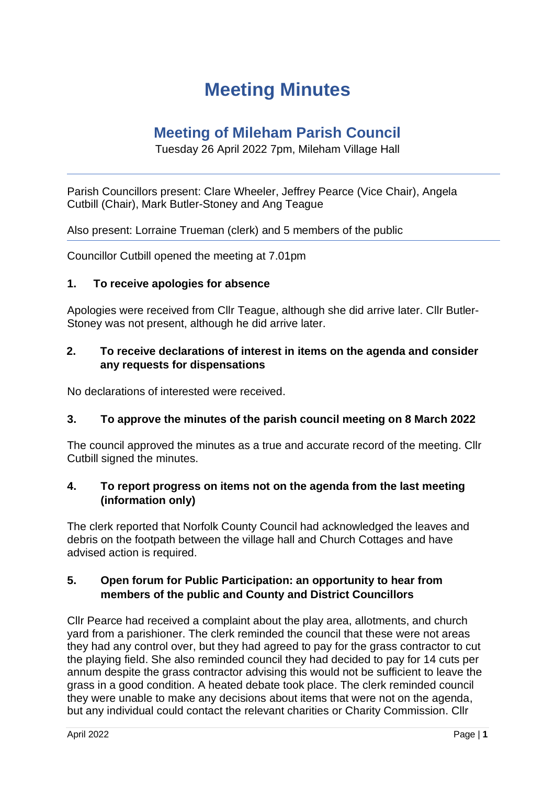# **Meeting Minutes**

## **Meeting of Mileham Parish Council**

Tuesday 26 April 2022 7pm, Mileham Village Hall

Parish Councillors present: Clare Wheeler, Jeffrey Pearce (Vice Chair), Angela Cutbill (Chair), Mark Butler-Stoney and Ang Teague

Also present: Lorraine Trueman (clerk) and 5 members of the public

Councillor Cutbill opened the meeting at 7.01pm

#### **1. To receive apologies for absence**

Apologies were received from Cllr Teague, although she did arrive later. Cllr Butler-Stoney was not present, although he did arrive later.

## **2. To receive declarations of interest in items on the agenda and consider any requests for dispensations**

No declarations of interested were received.

#### **3. To approve the minutes of the parish council meeting on 8 March 2022**

The council approved the minutes as a true and accurate record of the meeting. Cllr Cutbill signed the minutes.

## **4. To report progress on items not on the agenda from the last meeting (information only)**

The clerk reported that Norfolk County Council had acknowledged the leaves and debris on the footpath between the village hall and Church Cottages and have advised action is required.

#### **5. Open forum for Public Participation: an opportunity to hear from members of the public and County and District Councillors**

Cllr Pearce had received a complaint about the play area, allotments, and church yard from a parishioner. The clerk reminded the council that these were not areas they had any control over, but they had agreed to pay for the grass contractor to cut the playing field. She also reminded council they had decided to pay for 14 cuts per annum despite the grass contractor advising this would not be sufficient to leave the grass in a good condition. A heated debate took place. The clerk reminded council they were unable to make any decisions about items that were not on the agenda, but any individual could contact the relevant charities or Charity Commission. Cllr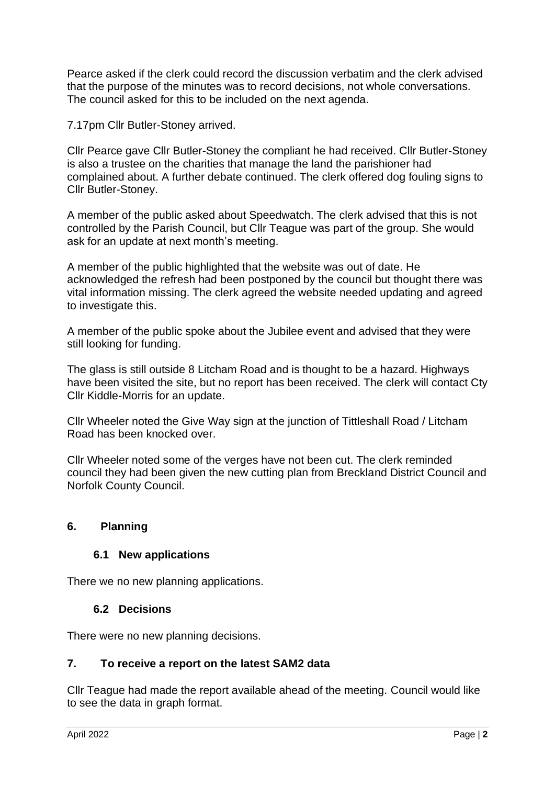Pearce asked if the clerk could record the discussion verbatim and the clerk advised that the purpose of the minutes was to record decisions, not whole conversations. The council asked for this to be included on the next agenda.

7.17pm Cllr Butler-Stoney arrived.

Cllr Pearce gave Cllr Butler-Stoney the compliant he had received. Cllr Butler-Stoney is also a trustee on the charities that manage the land the parishioner had complained about. A further debate continued. The clerk offered dog fouling signs to Cllr Butler-Stoney.

A member of the public asked about Speedwatch. The clerk advised that this is not controlled by the Parish Council, but Cllr Teague was part of the group. She would ask for an update at next month's meeting.

A member of the public highlighted that the website was out of date. He acknowledged the refresh had been postponed by the council but thought there was vital information missing. The clerk agreed the website needed updating and agreed to investigate this.

A member of the public spoke about the Jubilee event and advised that they were still looking for funding.

The glass is still outside 8 Litcham Road and is thought to be a hazard. Highways have been visited the site, but no report has been received. The clerk will contact Cty Cllr Kiddle-Morris for an update.

Cllr Wheeler noted the Give Way sign at the junction of Tittleshall Road / Litcham Road has been knocked over.

Cllr Wheeler noted some of the verges have not been cut. The clerk reminded council they had been given the new cutting plan from Breckland District Council and Norfolk County Council.

## **6. Planning**

#### **6.1 New applications**

There we no new planning applications.

#### **6.2 Decisions**

There were no new planning decisions.

#### **7. To receive a report on the latest SAM2 data**

Cllr Teague had made the report available ahead of the meeting. Council would like to see the data in graph format.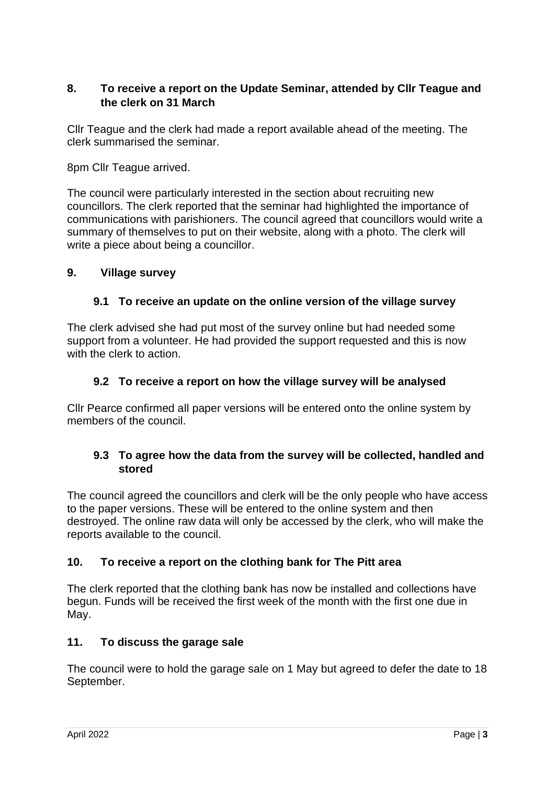## **8. To receive a report on the Update Seminar, attended by Cllr Teague and the clerk on 31 March**

Cllr Teague and the clerk had made a report available ahead of the meeting. The clerk summarised the seminar.

8pm Cllr Teague arrived.

The council were particularly interested in the section about recruiting new councillors. The clerk reported that the seminar had highlighted the importance of communications with parishioners. The council agreed that councillors would write a summary of themselves to put on their website, along with a photo. The clerk will write a piece about being a councillor.

## **9. Village survey**

## **9.1 To receive an update on the online version of the village survey**

The clerk advised she had put most of the survey online but had needed some support from a volunteer. He had provided the support requested and this is now with the clerk to action

#### **9.2 To receive a report on how the village survey will be analysed**

Cllr Pearce confirmed all paper versions will be entered onto the online system by members of the council.

#### **9.3 To agree how the data from the survey will be collected, handled and stored**

The council agreed the councillors and clerk will be the only people who have access to the paper versions. These will be entered to the online system and then destroyed. The online raw data will only be accessed by the clerk, who will make the reports available to the council.

## **10. To receive a report on the clothing bank for The Pitt area**

The clerk reported that the clothing bank has now be installed and collections have begun. Funds will be received the first week of the month with the first one due in May.

#### **11. To discuss the garage sale**

The council were to hold the garage sale on 1 May but agreed to defer the date to 18 September.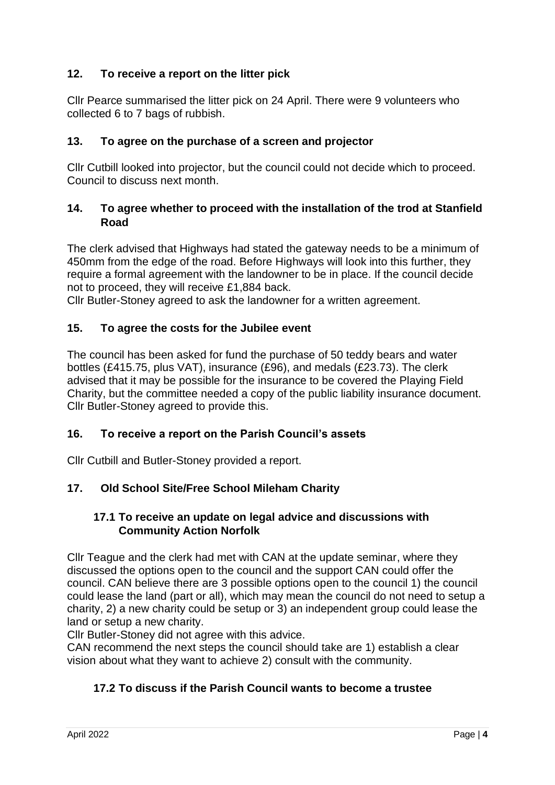## **12. To receive a report on the litter pick**

Cllr Pearce summarised the litter pick on 24 April. There were 9 volunteers who collected 6 to 7 bags of rubbish.

#### **13. To agree on the purchase of a screen and projector**

Cllr Cutbill looked into projector, but the council could not decide which to proceed. Council to discuss next month.

#### **14. To agree whether to proceed with the installation of the trod at Stanfield Road**

The clerk advised that Highways had stated the gateway needs to be a minimum of 450mm from the edge of the road. Before Highways will look into this further, they require a formal agreement with the landowner to be in place. If the council decide not to proceed, they will receive £1,884 back.

Cllr Butler-Stoney agreed to ask the landowner for a written agreement.

#### **15. To agree the costs for the Jubilee event**

The council has been asked for fund the purchase of 50 teddy bears and water bottles (£415.75, plus VAT), insurance (£96), and medals (£23.73). The clerk advised that it may be possible for the insurance to be covered the Playing Field Charity, but the committee needed a copy of the public liability insurance document. Cllr Butler-Stoney agreed to provide this.

#### **16. To receive a report on the Parish Council's assets**

Cllr Cutbill and Butler-Stoney provided a report.

## **17. Old School Site/Free School Mileham Charity**

#### **17.1 To receive an update on legal advice and discussions with Community Action Norfolk**

Cllr Teague and the clerk had met with CAN at the update seminar, where they discussed the options open to the council and the support CAN could offer the council. CAN believe there are 3 possible options open to the council 1) the council could lease the land (part or all), which may mean the council do not need to setup a charity, 2) a new charity could be setup or 3) an independent group could lease the land or setup a new charity.

Cllr Butler-Stoney did not agree with this advice.

CAN recommend the next steps the council should take are 1) establish a clear vision about what they want to achieve 2) consult with the community.

## **17.2 To discuss if the Parish Council wants to become a trustee**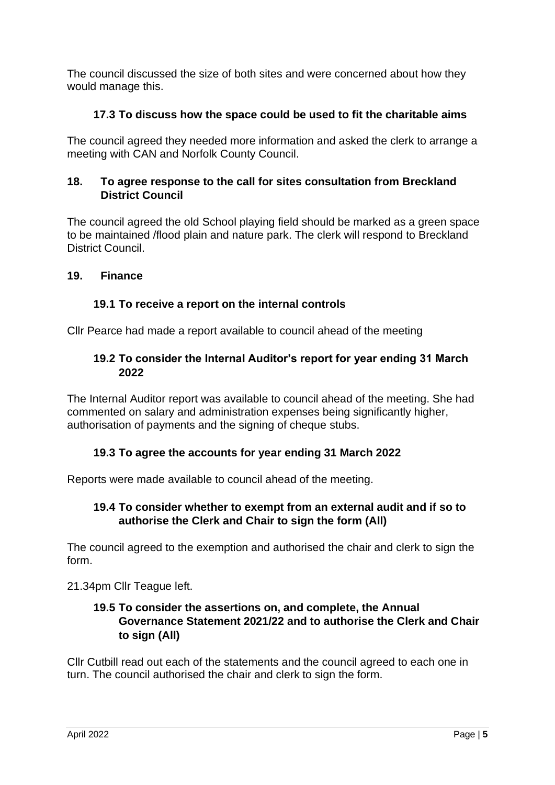The council discussed the size of both sites and were concerned about how they would manage this.

## **17.3 To discuss how the space could be used to fit the charitable aims**

The council agreed they needed more information and asked the clerk to arrange a meeting with CAN and Norfolk County Council.

## **18. To agree response to the call for sites consultation from Breckland District Council**

The council agreed the old School playing field should be marked as a green space to be maintained /flood plain and nature park. The clerk will respond to Breckland District Council.

## **19. Finance**

## **19.1 To receive a report on the internal controls**

Cllr Pearce had made a report available to council ahead of the meeting

## **19.2 To consider the Internal Auditor's report for year ending 31 March 2022**

The Internal Auditor report was available to council ahead of the meeting. She had commented on salary and administration expenses being significantly higher, authorisation of payments and the signing of cheque stubs.

## **19.3 To agree the accounts for year ending 31 March 2022**

Reports were made available to council ahead of the meeting.

## **19.4 To consider whether to exempt from an external audit and if so to authorise the Clerk and Chair to sign the form (All)**

The council agreed to the exemption and authorised the chair and clerk to sign the form.

21.34pm Cllr Teague left.

## **19.5 To consider the assertions on, and complete, the Annual Governance Statement 2021/22 and to authorise the Clerk and Chair to sign (All)**

Cllr Cutbill read out each of the statements and the council agreed to each one in turn. The council authorised the chair and clerk to sign the form.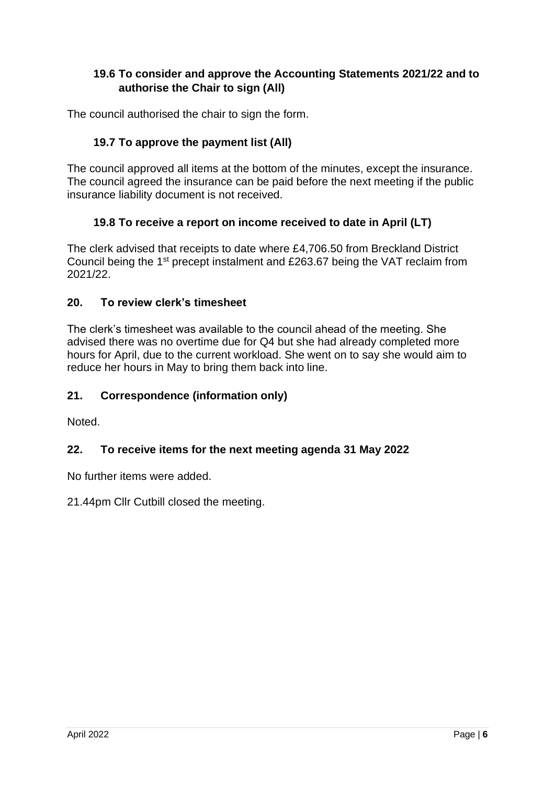## **19.6 To consider and approve the Accounting Statements 2021/22 and to authorise the Chair to sign (All)**

The council authorised the chair to sign the form.

## **19.7 To approve the payment list (All)**

The council approved all items at the bottom of the minutes, except the insurance. The council agreed the insurance can be paid before the next meeting if the public insurance liability document is not received.

## **19.8 To receive a report on income received to date in April (LT)**

The clerk advised that receipts to date where £4,706.50 from Breckland District Council being the 1st precept instalment and £263.67 being the VAT reclaim from 2021/22.

## **20. To review clerk's timesheet**

The clerk's timesheet was available to the council ahead of the meeting. She advised there was no overtime due for Q4 but she had already completed more hours for April, due to the current workload. She went on to say she would aim to reduce her hours in May to bring them back into line.

## **21. Correspondence (information only)**

Noted.

## **22. To receive items for the next meeting agenda 31 May 2022**

No further items were added.

21.44pm Cllr Cutbill closed the meeting.